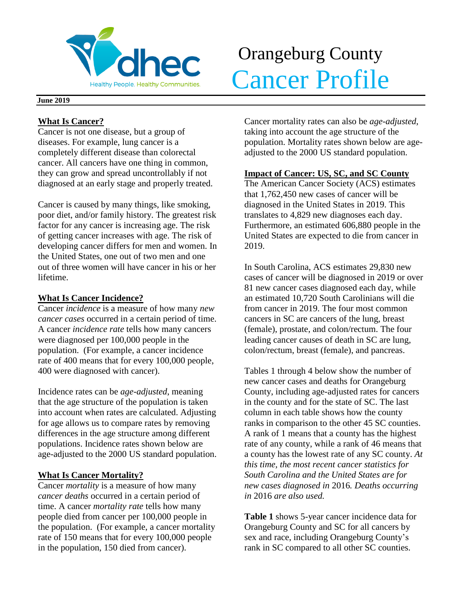

# Orangeburg County Menthy People. Healthy Communities. Cancer Profile

#### **June 2019**

## **What Is Cancer?**

Cancer is not one disease, but a group of diseases. For example, lung cancer is a completely different disease than colorectal cancer. All cancers have one thing in common, they can grow and spread uncontrollably if not diagnosed at an early stage and properly treated.

Cancer is caused by many things, like smoking, poor diet, and/or family history. The greatest risk factor for any cancer is increasing age. The risk of getting cancer increases with age. The risk of developing cancer differs for men and women. In the United States, one out of two men and one out of three women will have cancer in his or her lifetime.

## **What Is Cancer Incidence?**

Cancer *incidence* is a measure of how many *new cancer cases* occurred in a certain period of time. A cancer *incidence rate* tells how many cancers were diagnosed per 100,000 people in the population. (For example, a cancer incidence rate of 400 means that for every 100,000 people, 400 were diagnosed with cancer).

Incidence rates can be *age-adjusted*, meaning that the age structure of the population is taken into account when rates are calculated. Adjusting for age allows us to compare rates by removing differences in the age structure among different populations. Incidence rates shown below are age-adjusted to the 2000 US standard population.

## **What Is Cancer Mortality?**

Cancer *mortality* is a measure of how many *cancer deaths* occurred in a certain period of time. A cancer *mortality rate* tells how many people died from cancer per 100,000 people in the population. (For example, a cancer mortality rate of 150 means that for every 100,000 people in the population, 150 died from cancer).

Cancer mortality rates can also be *age-adjusted*, taking into account the age structure of the population. Mortality rates shown below are ageadjusted to the 2000 US standard population.

## **Impact of Cancer: US, SC, and SC County**

The American Cancer Society (ACS) estimates that 1,762,450 new cases of cancer will be diagnosed in the United States in 2019. This translates to 4,829 new diagnoses each day. Furthermore, an estimated 606,880 people in the United States are expected to die from cancer in 2019.

In South Carolina, ACS estimates 29,830 new cases of cancer will be diagnosed in 2019 or over 81 new cancer cases diagnosed each day, while an estimated 10,720 South Carolinians will die from cancer in 2019. The four most common cancers in SC are cancers of the lung, breast (female), prostate, and colon/rectum. The four leading cancer causes of death in SC are lung, colon/rectum, breast (female), and pancreas.

Tables 1 through 4 below show the number of new cancer cases and deaths for Orangeburg County, including age-adjusted rates for cancers in the county and for the state of SC. The last column in each table shows how the county ranks in comparison to the other 45 SC counties. A rank of 1 means that a county has the highest rate of any county, while a rank of 46 means that a county has the lowest rate of any SC county. *At this time, the most recent cancer statistics for South Carolina and the United States are for new cases diagnosed in* 2016*. Deaths occurring in* 2016 *are also used.*

**Table 1** shows 5-year cancer incidence data for Orangeburg County and SC for all cancers by sex and race, including Orangeburg County's rank in SC compared to all other SC counties.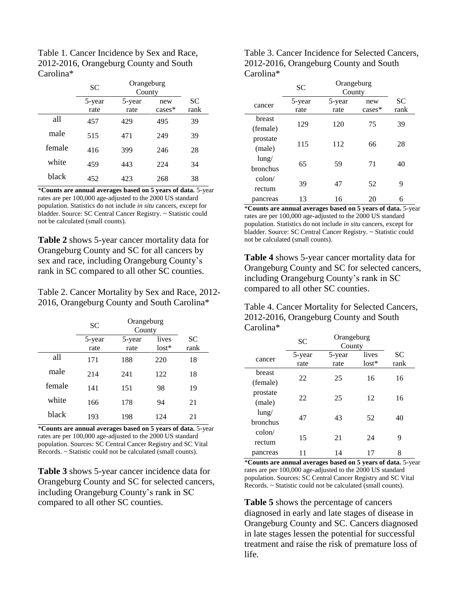Table 1. Cancer Incidence by Sex and Race, 2012-2016, Orangeburg County and South Carolina\*

|        | Orangeburg<br>SС<br>County |        |           |      |
|--------|----------------------------|--------|-----------|------|
|        | 5-year                     | 5-year | new       | SС   |
|        | rate                       | rate   | $cases^*$ | rank |
| all    | 457                        | 429    | 495       | 39   |
| male   | 515                        | 471    | 249       | 39   |
| female | 416                        | 399    | 246       | 28   |
| white  | 459                        | 443    | 224       | 34   |
| black  | 452                        | 423    | 268       | 38   |

\***Counts are annual averages based on 5 years of data.** 5-year rates are per 100,000 age-adjusted to the 2000 US standard population. Statistics do not include *in situ* cancers, except for bladder. Source: SC Central Cancer Registry. ~ Statistic could not be calculated (small counts).

**Table 2** shows 5-year cancer mortality data for Orangeburg County and SC for all cancers by sex and race, including Orangeburg County's rank in SC compared to all other SC counties.

Table 2. Cancer Mortality by Sex and Race, 2012- 2016, Orangeburg County and South Carolina\*

|        | SC             | Orangeburg<br>County |                  |                   |
|--------|----------------|----------------------|------------------|-------------------|
|        | 5-year<br>rate | 5-year<br>rate       | lives<br>$lost*$ | <b>SC</b><br>rank |
| all    | 171            | 188                  | 220              | 18                |
| male   | 214            | 241                  | 122              | 18                |
| female | 141            | 151                  | 98               | 19                |
| white  | 166            | 178                  | 94               | 21                |
| black  | 193            | 198                  | 124              | 21                |

\***Counts are annual averages based on 5 years of data.** 5-year rates are per 100,000 age-adjusted to the 2000 US standard population. Sources: SC Central Cancer Registry and SC Vital Records. ~ Statistic could not be calculated (small counts).

**Table 3** shows 5-year cancer incidence data for Orangeburg County and SC for selected cancers, including Orangeburg County's rank in SC compared to all other SC counties.

Table 3. Cancer Incidence for Selected Cancers, 2012-2016, Orangeburg County and South Carolina\*

|                      | <b>SC</b> | Orangeburg<br>County |          |           |
|----------------------|-----------|----------------------|----------|-----------|
| cancer               | 5-year    | 5-year               | new      | <b>SC</b> |
|                      | rate      | rate                 | $cases*$ | rank      |
| breast<br>(female)   | 129       | 120                  | 75       | 39        |
| prostate<br>(male)   | 115       | 112                  | 66       | 28        |
| $l$ ung/<br>bronchus | 65        | 59                   | 71       | 40        |
| colon/<br>rectum     | 39        | 47                   | 52       | 9         |
| pancreas             | 13        | 16                   | 20       | 6         |

\***Counts are annual averages based on 5 years of data.** 5-year rates are per 100,000 age-adjusted to the 2000 US standard population. Statistics do not include *in situ* cancers, except for bladder. Source: SC Central Cancer Registry. ~ Statistic could not be calculated (small counts).

**Table 4** shows 5-year cancer mortality data for Orangeburg County and SC for selected cancers, including Orangeburg County's rank in SC compared to all other SC counties.

Table 4. Cancer Mortality for Selected Cancers, 2012-2016, Orangeburg County and South Carolina\*

|                 | <b>SC</b> | Orangeburg<br>County |         |           |
|-----------------|-----------|----------------------|---------|-----------|
| cancer          | 5-year    | 5-year               | lives   | <b>SC</b> |
|                 | rate      | rate                 | $lost*$ | rank      |
| breast          | 22        | 25                   | 16      | 16        |
| (female)        |           |                      |         |           |
| prostate        | 22        | 25                   | 12      | 16        |
| (male)          |           |                      |         |           |
| $l$ ung/        | 47        | 43                   | 52      | 40        |
| <b>bronchus</b> |           |                      |         |           |
| $\text{colon}/$ | 15        | 21                   | 24      | 9         |
| rectum          |           |                      |         |           |
| pancreas        | 11        | 14                   | 17      | 8         |

\***Counts are annual averages based on 5 years of data.** 5-year rates are per 100,000 age-adjusted to the 2000 US standard population. Sources: SC Central Cancer Registry and SC Vital Records. ~ Statistic could not be calculated (small counts).

**Table 5** shows the percentage of cancers diagnosed in early and late stages of disease in Orangeburg County and SC. Cancers diagnosed in late stages lessen the potential for successful treatment and raise the risk of premature loss of life.